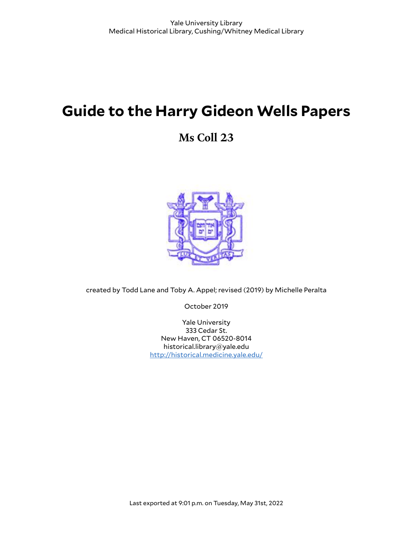# **Guide to the Harry Gideon Wells Papers**

## **Ms Coll 23**



created by Todd Lane and Toby A. Appel; revised (2019) by Michelle Peralta

October 2019

Yale University 333 Cedar St. New Haven, CT 06520-8014 historical.library@yale.edu <http://historical.medicine.yale.edu/>

Last exported at 9:01 p.m. on Tuesday, May 31st, 2022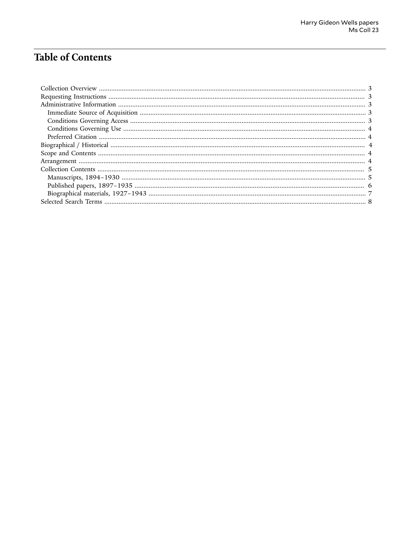## Table of Contents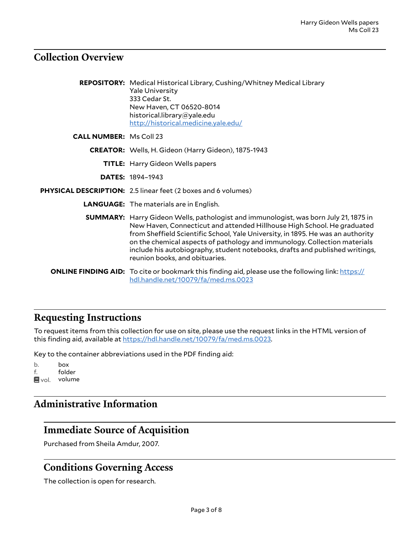#### <span id="page-2-0"></span>**Collection Overview**

|                                | <b>REPOSITORY:</b> Medical Historical Library, Cushing/Whitney Medical Library<br><b>Yale University</b><br>333 Cedar St.<br>New Haven, CT 06520-8014<br>historical.library@yale.edu<br>http://historical.medicine.yale.edu/                                                                                                                                                                                                                             |
|--------------------------------|----------------------------------------------------------------------------------------------------------------------------------------------------------------------------------------------------------------------------------------------------------------------------------------------------------------------------------------------------------------------------------------------------------------------------------------------------------|
| <b>CALL NUMBER: Ms Coll 23</b> |                                                                                                                                                                                                                                                                                                                                                                                                                                                          |
|                                | CREATOR: Wells, H. Gideon (Harry Gideon), 1875-1943                                                                                                                                                                                                                                                                                                                                                                                                      |
|                                | <b>TITLE:</b> Harry Gideon Wells papers                                                                                                                                                                                                                                                                                                                                                                                                                  |
|                                | <b>DATES: 1894-1943</b>                                                                                                                                                                                                                                                                                                                                                                                                                                  |
|                                | PHYSICAL DESCRIPTION: 2.5 linear feet (2 boxes and 6 volumes)                                                                                                                                                                                                                                                                                                                                                                                            |
|                                | <b>LANGUAGE:</b> The materials are in English.                                                                                                                                                                                                                                                                                                                                                                                                           |
|                                | <b>SUMMARY:</b> Harry Gideon Wells, pathologist and immunologist, was born July 21, 1875 in<br>New Haven, Connecticut and attended Hillhouse High School. He graduated<br>from Sheffield Scientific School, Yale University, in 1895. He was an authority<br>on the chemical aspects of pathology and immunology. Collection materials<br>include his autobiography, student notebooks, drafts and published writings,<br>reunion books, and obituaries. |
|                                | <b>ONLINE FINDING AID:</b> To cite or bookmark this finding aid, please use the following link: https://<br>hdl.handle.net/10079/fa/med.ms.0023                                                                                                                                                                                                                                                                                                          |

### <span id="page-2-1"></span>**Requesting Instructions**

To request items from this collection for use on site, please use the request links in the HTML version of this finding aid, available at [https://hdl.handle.net/10079/fa/med.ms.0023.](https://hdl.handle.net/10079/fa/med.ms.0023)

Key to the container abbreviations used in the PDF finding aid:

b. box f. folder ■vol. volume

### <span id="page-2-2"></span>**Administrative Information**

### <span id="page-2-3"></span>**Immediate Source of Acquisition**

Purchased from Sheila Amdur, 2007.

#### <span id="page-2-4"></span>**Conditions Governing Access**

The collection is open for research.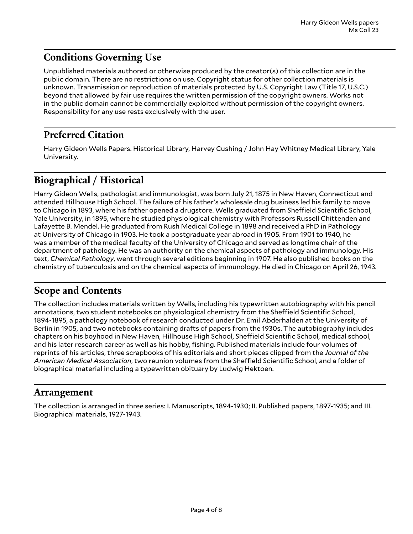### <span id="page-3-0"></span>**Conditions Governing Use**

Unpublished materials authored or otherwise produced by the creator(s) of this collection are in the public domain. There are no restrictions on use. Copyright status for other collection materials is unknown. Transmission or reproduction of materials protected by U.S. Copyright Law (Title 17, U.S.C.) beyond that allowed by fair use requires the written permission of the copyright owners. Works not in the public domain cannot be commercially exploited without permission of the copyright owners. Responsibility for any use rests exclusively with the user.

#### <span id="page-3-1"></span>**Preferred Citation**

Harry Gideon Wells Papers. Historical Library, Harvey Cushing / John Hay Whitney Medical Library, Yale University.

### <span id="page-3-2"></span>**Biographical / Historical**

Harry Gideon Wells, pathologist and immunologist, was born July 21, 1875 in New Haven, Connecticut and attended Hillhouse High School. The failure of his father's wholesale drug business led his family to move to Chicago in 1893, where his father opened a drugstore. Wells graduated from Sheffield Scientific School, Yale University, in 1895, where he studied physiological chemistry with Professors Russell Chittenden and Lafayette B. Mendel. He graduated from Rush Medical College in 1898 and received a PhD in Pathology at University of Chicago in 1903. He took a postgraduate year abroad in 1905. From 1901 to 1940, he was a member of the medical faculty of the University of Chicago and served as longtime chair of the department of pathology. He was an authority on the chemical aspects of pathology and immunology. His text, *Chemical Pathology*, went through several editions beginning in 1907. He also published books on the chemistry of tuberculosis and on the chemical aspects of immunology. He died in Chicago on April 26, 1943.

#### <span id="page-3-3"></span>**Scope and Contents**

The collection includes materials written by Wells, including his typewritten autobiography with his pencil annotations, two student notebooks on physiological chemistry from the Sheffield Scientific School, 1894-1895, a pathology notebook of research conducted under Dr. Emil Abderhalden at the University of Berlin in 1905, and two notebooks containing drafts of papers from the 1930s. The autobiography includes chapters on his boyhood in New Haven, Hillhouse High School, Sheffield Scientific School, medical school, and his later research career as well as his hobby, fishing. Published materials include four volumes of reprints of his articles, three scrapbooks of his editorials and short pieces clipped from the *Journal of the American Medical Association*, two reunion volumes from the Sheffield Scientific School, and a folder of biographical material including a typewritten obituary by Ludwig Hektoen.

#### <span id="page-3-4"></span>**Arrangement**

The collection is arranged in three series: I. Manuscripts, 1894-1930; II. Published papers, 1897-1935; and III. Biographical materials, 1927-1943.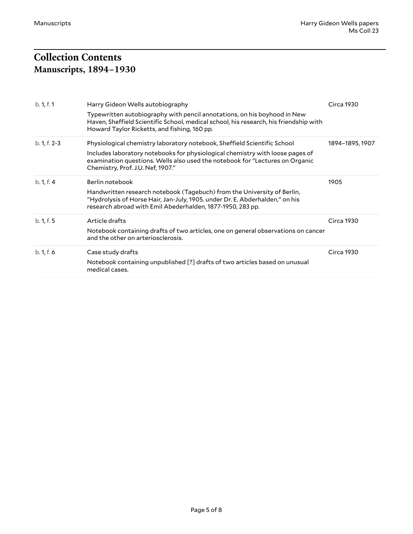## <span id="page-4-1"></span><span id="page-4-0"></span>**Collection Contents Manuscripts, 1894–1930**

| b. 1, f. 1     | Harry Gideon Wells autobiography                                                                                                                                                                                                                                               | Circa 1930        |
|----------------|--------------------------------------------------------------------------------------------------------------------------------------------------------------------------------------------------------------------------------------------------------------------------------|-------------------|
|                | Typewritten autobiography with pencil annotations, on his boyhood in New<br>Haven, Sheffield Scientific School, medical school, his research, his friendship with<br>Howard Taylor Ricketts, and fishing, 160 pp.                                                              |                   |
| $b. 1, f. 2-3$ | Physiological chemistry laboratory notebook, Sheffield Scientific School<br>Includes laboratory notebooks for physiological chemistry with loose pages of<br>examination questions. Wells also used the notebook for "Lectures on Organic<br>Chemistry, Prof. J.U. Nef, 1907." | 1894-1895, 1907   |
| b. 1, f. 4     | Berlin notebook<br>Handwritten research notebook (Tagebuch) from the University of Berlin,<br>"Hydrolysis of Horse Hair, Jan-July, 1905. under Dr. E. Abderhalden," on his<br>research abroad with Emil Abederhalden, 1877-1950, 283 pp.                                       | 1905              |
| b. 1, f. 5     | Article drafts<br>Notebook containing drafts of two articles, one on general observations on cancer<br>and the other on arteriosclerosis.                                                                                                                                      | Circa 1930        |
| b. 1, f. 6     | Case study drafts<br>Notebook containing unpublished [?] drafts of two articles based on unusual<br>medical cases.                                                                                                                                                             | <b>Circa 1930</b> |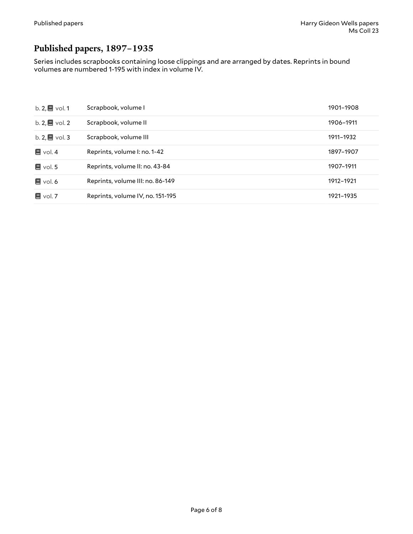### <span id="page-5-0"></span>**Published papers, 1897–1935**

Series includes scrapbooks containing loose clippings and are arranged by dates. Reprints in bound volumes are numbered 1-195 with index in volume IV.

| b. $2, \blacksquare$ vol. 1 | Scrapbook, volume I              | 1901-1908 |
|-----------------------------|----------------------------------|-----------|
| b. $2, \blacksquare$ vol. 2 | Scrapbook, volume II             | 1906-1911 |
| b. $2, \blacksquare$ vol. 3 | Scrapbook, volume III            | 1911-1932 |
| $\blacksquare$ vol. 4       | Reprints, volume I: no. 1-42     | 1897-1907 |
| $\blacksquare$ vol. 5       | Reprints, volume II: no. 43-84   | 1907-1911 |
| $\blacksquare$ vol. 6       | Reprints, volume III: no. 86-149 | 1912-1921 |
| $\blacksquare$ vol. 7       | Reprints, volume IV, no. 151-195 | 1921-1935 |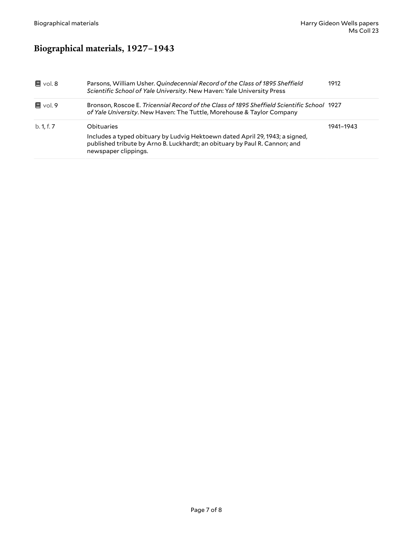### <span id="page-6-0"></span>**Biographical materials, 1927–1943**

| Parsons, William Usher. Quindecennial Record of the Class of 1895 Sheffield<br>Scientific School of Yale University. New Haven: Yale University Press                    | 1912                                                                                                               |
|--------------------------------------------------------------------------------------------------------------------------------------------------------------------------|--------------------------------------------------------------------------------------------------------------------|
| of Yale University. New Haven: The Tuttle, Morehouse & Taylor Company                                                                                                    |                                                                                                                    |
| Obituaries<br>Includes a typed obituary by Ludvig Hektoewn dated April 29, 1943; a signed,<br>published tribute by Arno B. Luckhardt; an obituary by Paul R. Cannon; and | 1941-1943                                                                                                          |
|                                                                                                                                                                          | Bronson, Roscoe E. Tricennial Record of the Class of 1895 Sheffield Scientific School 1927<br>newspaper clippings. |